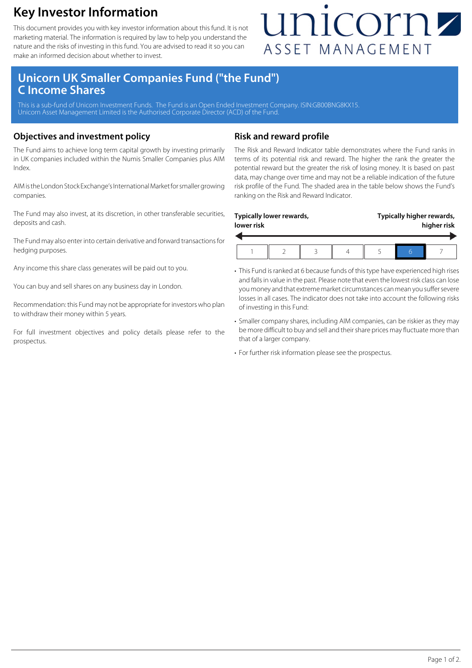### **Key Investor Information**

This document provides you with key investor information about this fund. It is not marketing material. The information is required by law to help you understand the nature and the risks of investing in this fund. You are advised to read it so you can make an informed decision about whether to invest.

## unicornz ASSET MANAGEMENT

### **Unicorn UK Smaller Companies Fund ("the Fund") C Income Shares**

This is a sub-fund of Unicorn Investment Funds. The Fund is an Open Ended Investment Company. ISIN:GB00BNG8KX15. Unicorn Asset Management Limited is the Authorised Corporate Director (ACD) of the Fund.

#### **Objectives and investment policy**

The Fund aims to achieve long term capital growth by investing primarily in UK companies included within the Numis Smaller Companies plus AIM Index.

AIM is the London Stock Exchange's International Market for smaller growing companies.

The Fund may also invest, at its discretion, in other transferable securities, deposits and cash.

The Fund may also enter into certain derivative and forward transactions for hedging purposes.

Any income this share class generates will be paid out to you.

You can buy and sell shares on any business day in London.

Recommendation: this Fund may not be appropriate for investors who plan to withdraw their money within 5 years.

For full investment objectives and policy details please refer to the prospectus.

#### **Risk and reward profile**

The Risk and Reward Indicator table demonstrates where the Fund ranks in terms of its potential risk and reward. The higher the rank the greater the potential reward but the greater the risk of losing money. It is based on past data, may change over time and may not be a reliable indication of the future risk profile of the Fund. The shaded area in the table below shows the Fund's ranking on the Risk and Reward Indicator.

| Typically lower rewards, |  |  |  | Typically higher rewards, |  |  |
|--------------------------|--|--|--|---------------------------|--|--|
| lower risk               |  |  |  | higher risk               |  |  |
|                          |  |  |  |                           |  |  |

- This Fund is ranked at 6 because funds of this type have experienced high rises and falls in value in the past. Please note that even the lowest risk class can lose you money and that extreme market circumstances can mean you suffer severe losses in all cases. The indicator does not take into account the following risks of investing in this Fund:
- Smaller company shares, including AIM companies, can be riskier as they may be more difficult to buy and sell and their share prices may fluctuate more than that of a larger company.
- For further risk information please see the prospectus.